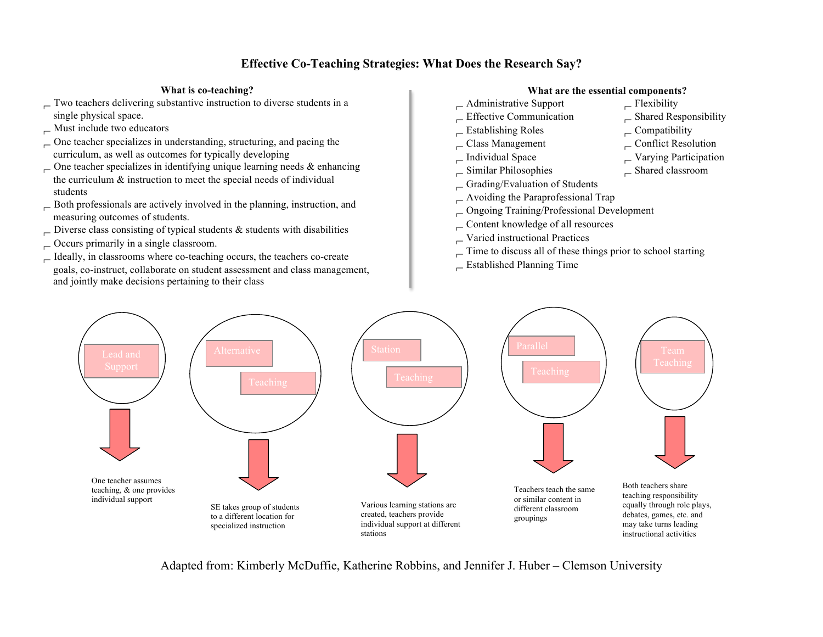## **Effective Co-Teaching Strategies: What Does the Research Say?**

## **What is co-teaching?**

- Two teachers delivering substantive instruction to diverse students in a single physical space.
- $\overline{\phantom{a}}$  Must include two educators
- $\sim$  One teacher specializes in understanding, structuring, and pacing the curriculum, as well as outcomes for typically developing
- $\sim$  One teacher specializes in identifying unique learning needs & enhancing the curriculum & instruction to meet the special needs of individual students
- Both professionals are actively involved in the planning, instruction, and measuring outcomes of students.
- $\Box$  Diverse class consisting of typical students & students with disabilities
- $\sim$  Occurs primarily in a single classroom.
- $\Box$  Ideally, in classrooms where co-teaching occurs, the teachers co-create goals, co-instruct, collaborate on student assessment and class management, and jointly make decisions pertaining to their class

## **What are the essential components?**

- $\Box$  Administrative Support  $\Box$  Flexibility
- 
- 
- 
- 
- Similar Philosophies Shared classroom
- $\Box$  Grading/Evaluation of Students
- Avoiding the Paraprofessional Trap
- Ongoing Training/Professional Development
- $\Gamma$ Content knowledge of all resources
- Varied instructional Practices
- $\overline{\phantom{a}}$  Time to discuss all of these things prior to school starting
- Established Planning Time



Adapted from: Kimberly McDuffie, Katherine Robbins, and Jennifer J. Huber – Clemson University

- 
- $\overline{\phantom{a}}$  Effective Communication  $\overline{\phantom{a}}$  Shared Responsibility
- Establishing Roles Compatibility
- $\Box$  Class Management  $\Box$  Conflict Resolution
- Individual Space Varying Participation
	-